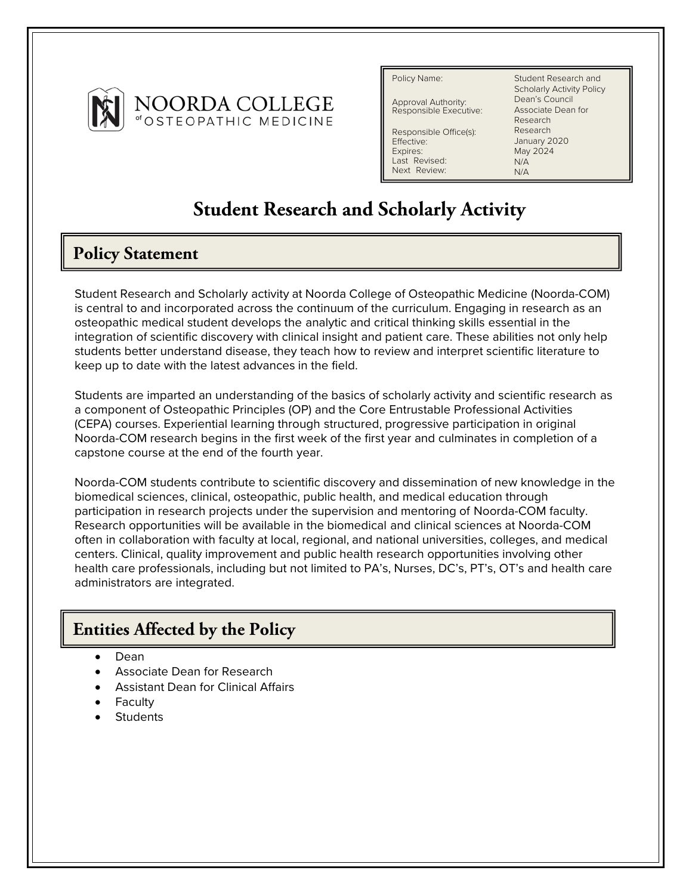

Policy Name:

Approval Authority: Responsible Executive:

Responsible Office(s): Effective: Expires: Last Revised: Next Review:

Student Research and Scholarly Activity Policy Dean's Council Associate Dean for Research Research January 2020 May 2024  $N/\Delta$ N/A

# **Student Research and Scholarly Activity**

# **Policy Statement**

Student Research and Scholarly activity at Noorda College of Osteopathic Medicine (Noorda-COM) is central to and incorporated across the continuum of the curriculum. Engaging in research as an osteopathic medical student develops the analytic and critical thinking skills essential in the integration of scientific discovery with clinical insight and patient care. These abilities not only help students better understand disease, they teach how to review and interpret scientific literature to keep up to date with the latest advances in the field.

Students are imparted an understanding of the basics of scholarly activity and scientific research as a component of Osteopathic Principles (OP) and the Core Entrustable Professional Activities (CEPA) courses. Experiential learning through structured, progressive participation in original Noorda-COM research begins in the first week of the first year and culminates in completion of a capstone course at the end of the fourth year.

Noorda-COM students contribute to scientific discovery and dissemination of new knowledge in the biomedical sciences, clinical, osteopathic, public health, and medical education through participation in research projects under the supervision and mentoring of Noorda-COM faculty. Research opportunities will be available in the biomedical and clinical sciences at Noorda-COM often in collaboration with faculty at local, regional, and national universities, colleges, and medical centers. Clinical, quality improvement and public health research opportunities involving other health care professionals, including but not limited to PA's, Nurses, DC's, PT's, OT's and health care administrators are integrated.

# **Entities Affected by the Policy**

- Dean
- Associate Dean for Research
- Assistant Dean for Clinical Affairs
- **Faculty**
- **Students**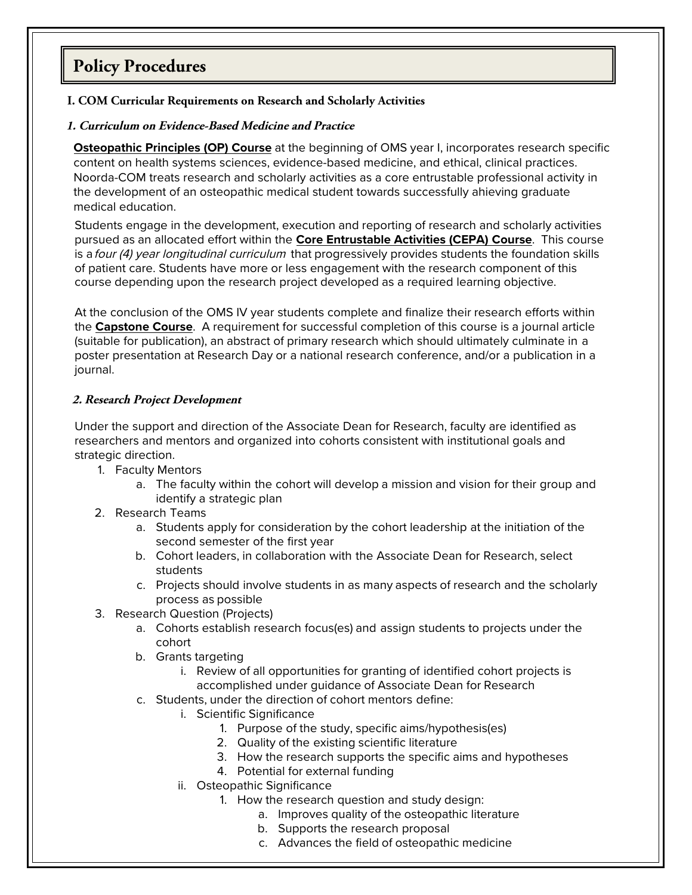# **Policy Procedures**

### **I. COM Curricular Requirements on Research and Scholarly Activities**

#### **1. Curriculum on Evidence-Based Medicine and Practice**

**Osteopathic Principles (OP) Course** at the beginning of OMS year I, incorporates research specific content on health systems sciences, evidence-based medicine, and ethical, clinical practices. Noorda-COM treats research and scholarly activities as a core entrustable professional activity in the development of an osteopathic medical student towards successfully ahieving graduate medical education.

Students engage in the development, execution and reporting of research and scholarly activities pursued as an allocated effort within the **Core Entrustable Activities (CEPA) Course**. This course is a four (4) year longitudinal curriculum that progressively provides students the foundation skills of patient care. Students have more or less engagement with the research component of this course depending upon the research project developed as a required learning objective.

At the conclusion of the OMS IV year students complete and finalize their research efforts within the **Capstone Course**. A requirement for successful completion of this course is a journal article (suitable for publication), an abstract of primary research which should ultimately culminate in a poster presentation at Research Day or a national research conference, and/or a publication in a journal.

### **2. Research Project Development**

Under the support and direction of the Associate Dean for Research, faculty are identified as researchers and mentors and organized into cohorts consistent with institutional goals and strategic direction.

- 1. Faculty Mentors
	- a. The faculty within the cohort will develop a mission and vision for their group and identify a strategic plan
- 2. Research Teams
	- a. Students apply for consideration by the cohort leadership at the initiation of the second semester of the first year
	- b. Cohort leaders, in collaboration with the Associate Dean for Research, select students
	- c. Projects should involve students in as many aspects of research and the scholarly process as possible
- 3. Research Question (Projects)
	- a. Cohorts establish research focus(es) and assign students to projects under the cohort
	- b. Grants targeting
		- i. Review of all opportunities for granting of identified cohort projects is accomplished under guidance of Associate Dean for Research
	- c. Students, under the direction of cohort mentors define:
		- i. Scientific Significance
			- 1. Purpose of the study, specific aims/hypothesis(es)
			- 2. Quality of the existing scientific literature
			- 3. How the research supports the specific aims and hypotheses
			- 4. Potential for external funding
		- ii. Osteopathic Significance
			- 1. How the research question and study design:
				- a. Improves quality of the osteopathic literature
				- b. Supports the research proposal
				- c. Advances the field of osteopathic medicine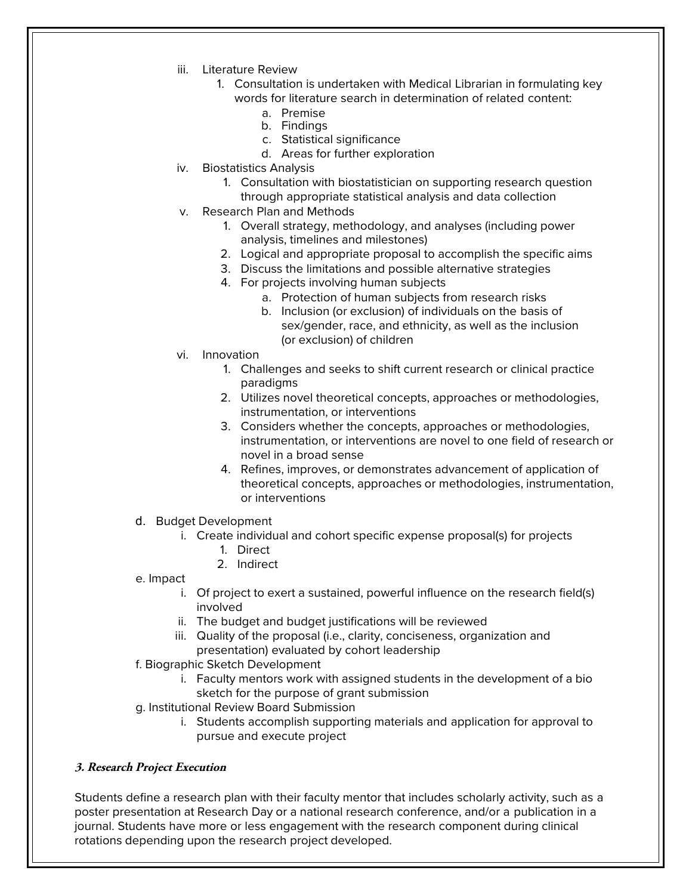- iii. Literature Review
	- 1. Consultation is undertaken with Medical Librarian in formulating key words for literature search in determination of related content:
		- a. Premise
		- b. Findings
		- c. Statistical significance
		- d. Areas for further exploration
- iv. Biostatistics Analysis
	- 1. Consultation with biostatistician on supporting research question through appropriate statistical analysis and data collection
- v. Research Plan and Methods
	- 1. Overall strategy, methodology, and analyses (including power analysis, timelines and milestones)
	- 2. Logical and appropriate proposal to accomplish the specific aims
	- 3. Discuss the limitations and possible alternative strategies
	- 4. For projects involving human subjects
		- a. Protection of human subjects from research risks
		- b. Inclusion (or exclusion) of individuals on the basis of sex/gender, race, and ethnicity, as well as the inclusion (or exclusion) of children
- vi. Innovation
	- 1. Challenges and seeks to shift current research or clinical practice paradigms
	- 2. Utilizes novel theoretical concepts, approaches or methodologies, instrumentation, or interventions
	- 3. Considers whether the concepts, approaches or methodologies, instrumentation, or interventions are novel to one field of research or novel in a broad sense
	- 4. Refines, improves, or demonstrates advancement of application of theoretical concepts, approaches or methodologies, instrumentation, or interventions
- d. Budget Development
	- i. Create individual and cohort specific expense proposal(s) for projects
		- 1. Direct
		- 2. Indirect
- e. Impact
	- i. Of project to exert a sustained, powerful influence on the research field(s) involved
	- ii. The budget and budget justifications will be reviewed
	- iii. Quality of the proposal (i.e., clarity, conciseness, organization and presentation) evaluated by cohort leadership
- f. Biographic Sketch Development
	- i. Faculty mentors work with assigned students in the development of a bio sketch for the purpose of grant submission
- g. Institutional Review Board Submission
	- i. Students accomplish supporting materials and application for approval to pursue and execute project

### **3. Research Project Execution**

Students define a research plan with their faculty mentor that includes scholarly activity, such as a poster presentation at Research Day or a national research conference, and/or a publication in a journal. Students have more or less engagement with the research component during clinical rotations depending upon the research project developed.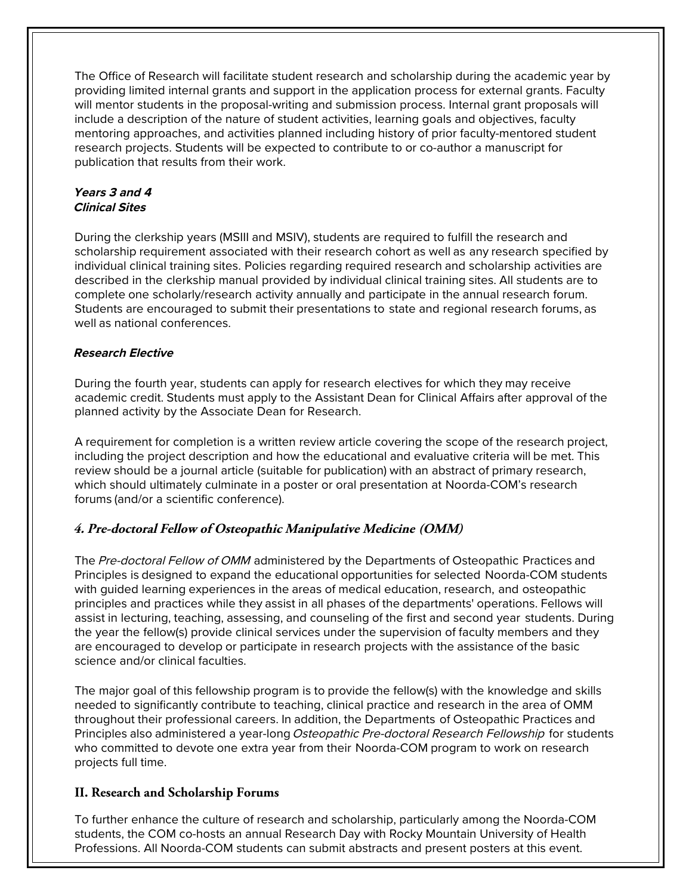The Office of Research will facilitate student research and scholarship during the academic year by providing limited internal grants and support in the application process for external grants. Faculty will mentor students in the proposal-writing and submission process. Internal grant proposals will include a description of the nature of student activities, learning goals and objectives, faculty mentoring approaches, and activities planned including history of prior faculty-mentored student research projects. Students will be expected to contribute to or co-author a manuscript for publication that results from their work.

### **Years 3 and 4 Clinical Sites**

During the clerkship years (MSIII and MSIV), students are required to fulfill the research and scholarship requirement associated with their research cohort as well as any research specified by individual clinical training sites. Policies regarding required research and scholarship activities are described in the clerkship manual provided by individual clinical training sites. All students are to complete one scholarly/research activity annually and participate in the annual research forum. Students are encouraged to submit their presentations to state and regional research forums, as well as national conferences.

### **Research Elective**

During the fourth year, students can apply for research electives for which they may receive academic credit. Students must apply to the Assistant Dean for Clinical Affairs after approval of the planned activity by the Associate Dean for Research.

A requirement for completion is a written review article covering the scope of the research project, including the project description and how the educational and evaluative criteria will be met. This review should be a journal article (suitable for publication) with an abstract of primary research, which should ultimately culminate in a poster or oral presentation at Noorda-COM's research forums (and/or a scientific conference).

### **4. Pre-doctoral Fellow of Osteopathic Manipulative Medicine (OMM)**

The Pre-doctoral Fellow of OMM administered by the Departments of Osteopathic Practices and Principles is designed to expand the educational opportunities for selected Noorda-COM students with guided learning experiences in the areas of medical education, research, and osteopathic principles and practices while they assist in all phases of the departments' operations. Fellows will assist in lecturing, teaching, assessing, and counseling of the first and second year students. During the year the fellow(s) provide clinical services under the supervision of faculty members and they are encouraged to develop or participate in research projects with the assistance of the basic science and/or clinical faculties.

The major goal of this fellowship program is to provide the fellow(s) with the knowledge and skills needed to significantly contribute to teaching, clinical practice and research in the area of OMM throughout their professional careers. In addition, the Departments of Osteopathic Practices and Principles also administered a year-long Osteopathic Pre-doctoral Research Fellowship for students who committed to devote one extra year from their Noorda-COM program to work on research projects full time.

### **II. Research and Scholarship Forums**

To further enhance the culture of research and scholarship, particularly among the Noorda-COM students, the COM co-hosts an annual Research Day with Rocky Mountain University of Health Professions. All Noorda-COM students can submit abstracts and present posters at this event.